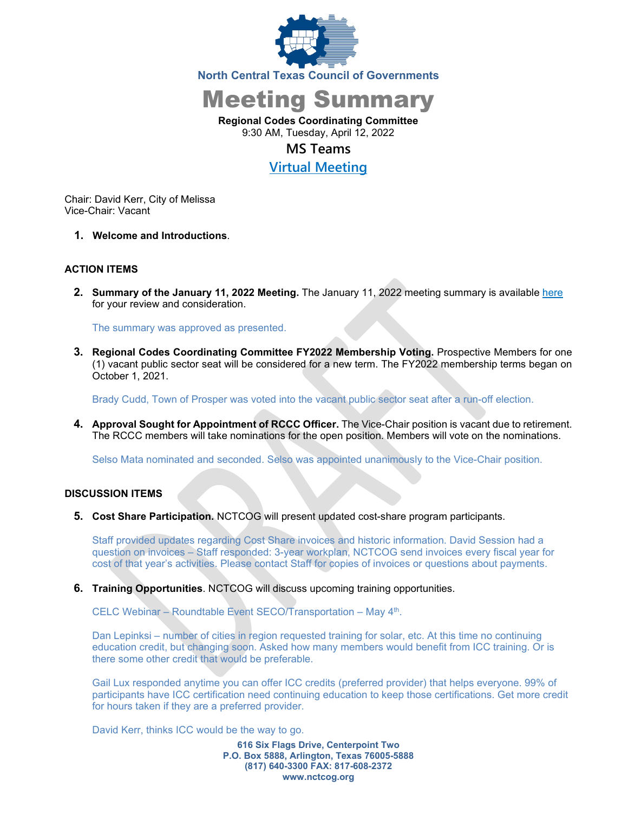

Meeting Summary

**Regional Codes Coordinating Committee** 9:30 AM, Tuesday, April 12, 2022

# **MS Teams**

**[Virtual Meeting](https://nam12.safelinks.protection.outlook.com/ap/t-59584e83/?url=https%3A%2F%2Fteams.microsoft.com%2Fl%2Fmeetup-join%2F19%253ameeting_OTE0OWIxODAtMGI1Ny00NmQwLWJiYTYtNjgwODc0NjQ2ZWEy%2540thread.v2%2F0%3Fcontext%3D%257b%2522Tid%2522%253a%25222f5e7ebc-22b0-4fbe-934c-aabddb4e29b1%2522%252c%2522Oid%2522%253a%2522e36755e2-eefa-4b02-b9cc-4498875cd36a%2522%257d&data=04%7C01%7CCHorner%40nctcog.org%7C5ef3c395985243cdca6d08d9d093e02a%7C2f5e7ebc22b04fbe934caabddb4e29b1%7C0%7C0%7C637770155801494590%7CUnknown%7CTWFpbGZsb3d8eyJWIjoiMC4wLjAwMDAiLCJQIjoiV2luMzIiLCJBTiI6Ik1haWwiLCJXVCI6Mn0%3D%7C3000&sdata=XKoY2Cd4hoZO6df3YVJSsVwNACHfQGG8OlguNzk7iE4%3D&reserved=0)**

Chair: David Kerr, City of Melissa Vice-Chair: Vacant

**1. Welcome and Introductions**.

## **ACTION ITEMS**

**2. Summary of the January 11, 2022 Meeting.** The January 11, 2022 meeting summary is available [here](https://www.nctcog.org/nctcg/media/Environment-and-Development/Committee%20Documents/RCCC/FY2022/Summary-and-Attendance-01112022-draft-Uploaded.pdf?ext=.pdf) for your review and consideration.

The summary was approved as presented.

**3. Regional Codes Coordinating Committee FY2022 Membership Voting.** Prospective Members for one (1) vacant public sector seat will be considered for a new term. The FY2022 membership terms began on October 1, 2021.

Brady Cudd, Town of Prosper was voted into the vacant public sector seat after a run-off election.

**4. Approval Sought for Appointment of RCCC Officer.** The Vice-Chair position is vacant due to retirement. The RCCC members will take nominations for the open position. Members will vote on the nominations.

Selso Mata nominated and seconded. Selso was appointed unanimously to the Vice-Chair position.

## **DISCUSSION ITEMS**

**5. Cost Share Participation.** NCTCOG will present updated cost-share program participants.

Staff provided updates regarding Cost Share invoices and historic information. David Session had a question on invoices – Staff responded: 3-year workplan, NCTCOG send invoices every fiscal year for cost of that year's activities. Please contact Staff for copies of invoices or questions about payments.

**6. Training Opportunities**. NCTCOG will discuss upcoming training opportunities.

CELC Webinar – Roundtable Event SECO/Transportation – May 4th.

Dan Lepinksi – number of cities in region requested training for solar, etc. At this time no continuing education credit, but changing soon. Asked how many members would benefit from ICC training. Or is there some other credit that would be preferable.

Gail Lux responded anytime you can offer ICC credits (preferred provider) that helps everyone. 99% of participants have ICC certification need continuing education to keep those certifications. Get more credit for hours taken if they are a preferred provider.

David Kerr, thinks ICC would be the way to go.

**616 Six Flags Drive, Centerpoint Two P.O. Box 5888, Arlington, Texas 76005-5888 (817) 640-3300 FAX: 817-608-2372 www.nctcog.org**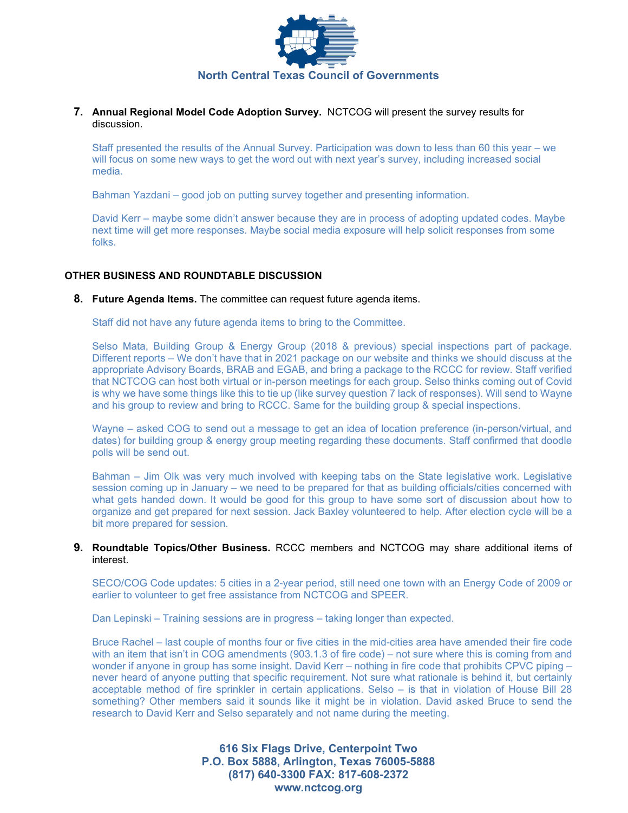

**7. Annual Regional Model Code Adoption Survey.** NCTCOG will present the survey results for discussion.

Staff presented the results of the Annual Survey. Participation was down to less than 60 this year – we will focus on some new ways to get the word out with next year's survey, including increased social media.

Bahman Yazdani – good job on putting survey together and presenting information.

David Kerr – maybe some didn't answer because they are in process of adopting updated codes. Maybe next time will get more responses. Maybe social media exposure will help solicit responses from some folks.

## **OTHER BUSINESS AND ROUNDTABLE DISCUSSION**

#### **8. Future Agenda Items.** The committee can request future agenda items.

Staff did not have any future agenda items to bring to the Committee.

Selso Mata, Building Group & Energy Group (2018 & previous) special inspections part of package. Different reports – We don't have that in 2021 package on our website and thinks we should discuss at the appropriate Advisory Boards, BRAB and EGAB, and bring a package to the RCCC for review. Staff verified that NCTCOG can host both virtual or in-person meetings for each group. Selso thinks coming out of Covid is why we have some things like this to tie up (like survey question 7 lack of responses). Will send to Wayne and his group to review and bring to RCCC. Same for the building group & special inspections.

Wayne – asked COG to send out a message to get an idea of location preference (in-person/virtual, and dates) for building group & energy group meeting regarding these documents. Staff confirmed that doodle polls will be send out.

Bahman – Jim Olk was very much involved with keeping tabs on the State legislative work. Legislative session coming up in January – we need to be prepared for that as building officials/cities concerned with what gets handed down. It would be good for this group to have some sort of discussion about how to organize and get prepared for next session. Jack Baxley volunteered to help. After election cycle will be a bit more prepared for session.

### **9. Roundtable Topics/Other Business.** RCCC members and NCTCOG may share additional items of interest.

SECO/COG Code updates: 5 cities in a 2-year period, still need one town with an Energy Code of 2009 or earlier to volunteer to get free assistance from NCTCOG and SPEER.

Dan Lepinski – Training sessions are in progress – taking longer than expected.

Bruce Rachel – last couple of months four or five cities in the mid-cities area have amended their fire code with an item that isn't in COG amendments (903.1.3 of fire code) – not sure where this is coming from and wonder if anyone in group has some insight. David Kerr – nothing in fire code that prohibits CPVC piping – never heard of anyone putting that specific requirement. Not sure what rationale is behind it, but certainly acceptable method of fire sprinkler in certain applications. Selso – is that in violation of House Bill 28 something? Other members said it sounds like it might be in violation. David asked Bruce to send the research to David Kerr and Selso separately and not name during the meeting.

> **616 Six Flags Drive, Centerpoint Two P.O. Box 5888, Arlington, Texas 76005-5888 (817) 640-3300 FAX: 817-608-2372 www.nctcog.org**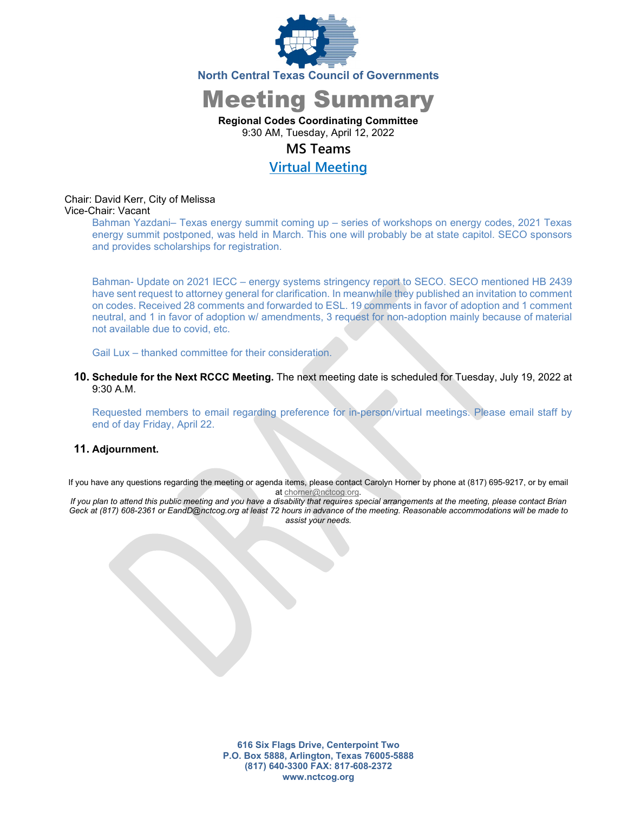

# Meeting Summary

## **Regional Codes Coordinating Committee**

9:30 AM, Tuesday, April 12, 2022

## **MS Teams**

# **[Virtual Meeting](https://nam12.safelinks.protection.outlook.com/ap/t-59584e83/?url=https%3A%2F%2Fteams.microsoft.com%2Fl%2Fmeetup-join%2F19%253ameeting_OTE0OWIxODAtMGI1Ny00NmQwLWJiYTYtNjgwODc0NjQ2ZWEy%2540thread.v2%2F0%3Fcontext%3D%257b%2522Tid%2522%253a%25222f5e7ebc-22b0-4fbe-934c-aabddb4e29b1%2522%252c%2522Oid%2522%253a%2522e36755e2-eefa-4b02-b9cc-4498875cd36a%2522%257d&data=04%7C01%7CCHorner%40nctcog.org%7C5ef3c395985243cdca6d08d9d093e02a%7C2f5e7ebc22b04fbe934caabddb4e29b1%7C0%7C0%7C637770155801494590%7CUnknown%7CTWFpbGZsb3d8eyJWIjoiMC4wLjAwMDAiLCJQIjoiV2luMzIiLCJBTiI6Ik1haWwiLCJXVCI6Mn0%3D%7C3000&sdata=XKoY2Cd4hoZO6df3YVJSsVwNACHfQGG8OlguNzk7iE4%3D&reserved=0)**

# Chair: David Kerr, City of Melissa

## Vice-Chair: Vacant

Bahman Yazdani– Texas energy summit coming up – series of workshops on energy codes, 2021 Texas energy summit postponed, was held in March. This one will probably be at state capitol. SECO sponsors and provides scholarships for registration.

Bahman- Update on 2021 IECC – energy systems stringency report to SECO. SECO mentioned HB 2439 have sent request to attorney general for clarification. In meanwhile they published an invitation to comment on codes. Received 28 comments and forwarded to ESL. 19 comments in favor of adoption and 1 comment neutral, and 1 in favor of adoption w/ amendments, 3 request for non-adoption mainly because of material not available due to covid, etc.

Gail Lux – thanked committee for their consideration.

**10. Schedule for the Next RCCC Meeting.** The next meeting date is scheduled for Tuesday, July 19, 2022 at 9:30 A.M.

Requested members to email regarding preference for in-person/virtual meetings. Please email staff by end of day Friday, April 22.

## **11. Adjournment.**

If you have any questions regarding the meeting or agenda items, please contact Carolyn Horner by phone at (817) 695-9217, or by email at [chorner@nctcog.org.](mailto:chorner@nctcog.org)

*If you plan to attend this public meeting and you have a disability that requires special arrangements at the meeting, please contact Brian Geck at (817) 608-2361 or EandD@nctcog.org at least 72 hours in advance of the meeting. Reasonable accommodations will be made to assist your needs.*

> **616 Six Flags Drive, Centerpoint Two P.O. Box 5888, Arlington, Texas 76005-5888 (817) 640-3300 FAX: 817-608-2372 www.nctcog.org**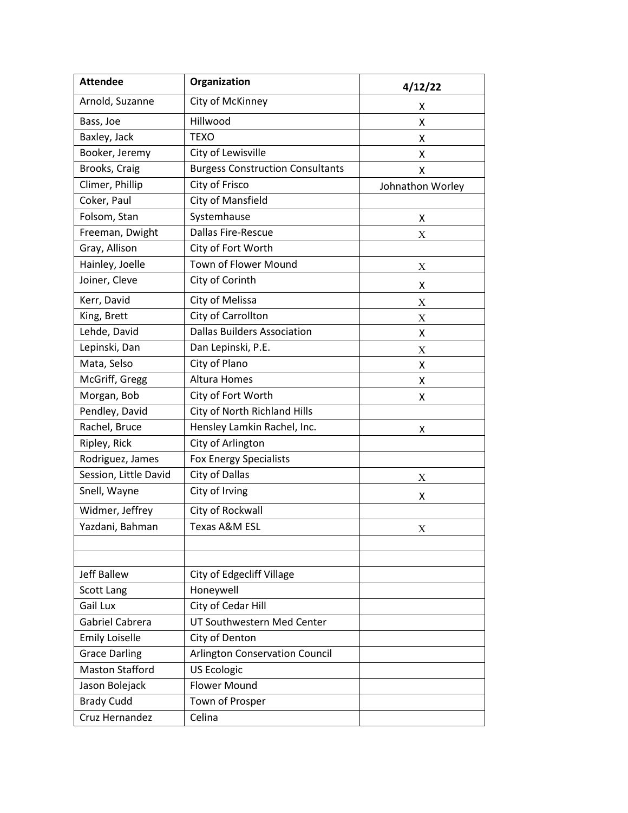| <b>Attendee</b>        | Organization                            | 4/12/22          |
|------------------------|-----------------------------------------|------------------|
| Arnold, Suzanne        | City of McKinney                        | x                |
| Bass, Joe              | Hillwood                                | Χ                |
| Baxley, Jack           | <b>TEXO</b>                             | X                |
| Booker, Jeremy         | City of Lewisville                      | x                |
| Brooks, Craig          | <b>Burgess Construction Consultants</b> | X                |
| Climer, Phillip        | City of Frisco                          | Johnathon Worley |
| Coker, Paul            | City of Mansfield                       |                  |
| Folsom, Stan           | Systemhause                             | Χ                |
| Freeman, Dwight        | Dallas Fire-Rescue                      | Χ                |
| Gray, Allison          | City of Fort Worth                      |                  |
| Hainley, Joelle        | Town of Flower Mound                    | Χ                |
| Joiner, Cleve          | City of Corinth                         | X                |
| Kerr, David            | City of Melissa                         | X                |
| King, Brett            | City of Carrollton                      | Χ                |
| Lehde, David           | <b>Dallas Builders Association</b>      | X                |
| Lepinski, Dan          | Dan Lepinski, P.E.                      | Χ                |
| Mata, Selso            | City of Plano                           | Χ                |
| McGriff, Gregg         | <b>Altura Homes</b>                     | Χ                |
| Morgan, Bob            | City of Fort Worth                      | Χ                |
| Pendley, David         | City of North Richland Hills            |                  |
| Rachel, Bruce          | Hensley Lamkin Rachel, Inc.             | X                |
| Ripley, Rick           | City of Arlington                       |                  |
| Rodriguez, James       | Fox Energy Specialists                  |                  |
| Session, Little David  | City of Dallas                          | Χ                |
| Snell, Wayne           | City of Irving                          | Χ                |
| Widmer, Jeffrey        | City of Rockwall                        |                  |
| Yazdani, Bahman        | <b>Texas A&amp;M ESL</b>                | X                |
|                        |                                         |                  |
| <b>Jeff Ballew</b>     | <b>City of Edgecliff Village</b>        |                  |
| Scott Lang             | Honeywell                               |                  |
| Gail Lux               | City of Cedar Hill                      |                  |
| Gabriel Cabrera        | UT Southwestern Med Center              |                  |
| <b>Emily Loiselle</b>  | City of Denton                          |                  |
| <b>Grace Darling</b>   | <b>Arlington Conservation Council</b>   |                  |
| <b>Maston Stafford</b> | <b>US Ecologic</b>                      |                  |
| Jason Bolejack         | <b>Flower Mound</b>                     |                  |
| <b>Brady Cudd</b>      | Town of Prosper                         |                  |
| Cruz Hernandez         | Celina                                  |                  |